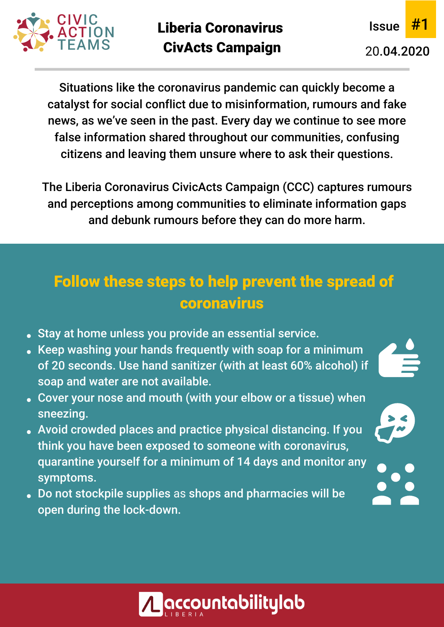

**Issue** 20.04.2020 #1

Situations like the coronavirus pandemic can quickly become a catalyst for social conflict due to misinformation, rumours and fake news, as we've seen in the past. Every day we continue to see more false information shared throughout our communities, confusing citizens and leaving them unsure where to ask their questions.

The Liberia Coronavirus CivicActs Campaign (CCC) captures rumours and perceptions among communities to eliminate information gaps and debunk rumours before they can do more harm.

## Follow these steps to help prevent the spread of coronavirus

- Stay at home unless you provide an essential service.
- . Keep washing your hands frequently with soap for a minimum of 20 seconds. Use hand sanitizer (with at least 60% alcohol) if soap and water are not available.
- Cover your nose and mouth (with your elbow or a tissue) when sneezing.
- Avoid crowded places and practice physical distancing. If you think you have been exposed to someone with coronavirus, quarantine yourself for a minimum of 14 days and monitor any symptoms.
- Do not stockpile supplies as shops and pharmacies will be open during the lock-down.

ccountabilitylab